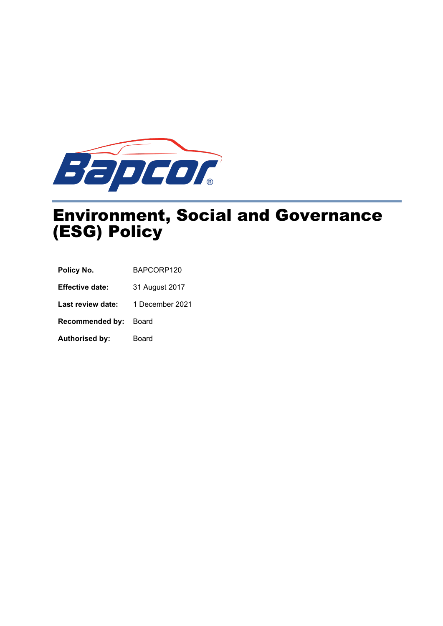

# Environment, Social and Governance (ESG) Policy

| BAPCORP120<br>Policy No. |
|--------------------------|
|--------------------------|

**Effective date:** 31 August 2017

Last review date: 1 December 2021

**Recommended by:** Board

Authorised by: Board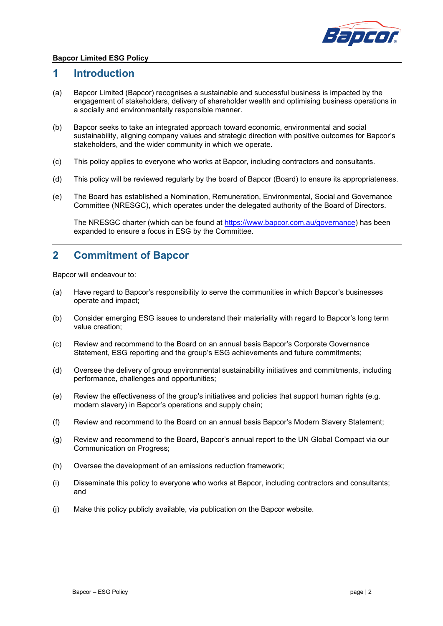

#### **Bapcor Limited ESG Policy**

#### **1 Introduction**

- (a) Bapcor Limited (Bapcor) recognises a sustainable and successful business is impacted by the engagement of stakeholders, delivery of shareholder wealth and optimising business operations in a socially and environmentally responsible manner.
- (b) Bapcor seeks to take an integrated approach toward economic, environmental and social sustainability, aligning company values and strategic direction with positive outcomes for Bapcor's stakeholders, and the wider community in which we operate.
- (c) This policy applies to everyone who works at Bapcor, including contractors and consultants.
- (d) This policy will be reviewed regularly by the board of Bapcor (Board) to ensure its appropriateness.
- (e) The Board has established a Nomination, Remuneration, Environmental, Social and Governance Committee (NRESGC), which operates under the delegated authority of the Board of Directors.

The NRESGC charter (which can be found at [https://www.bapcor.com.au/governance\)](https://www.bapcor.com.au/governance) has been expanded to ensure a focus in ESG by the Committee.

### **2 Commitment of Bapcor**

Bapcor will endeavour to:

- (a) Have regard to Bapcor's responsibility to serve the communities in which Bapcor's businesses operate and impact;
- (b) Consider emerging ESG issues to understand their materiality with regard to Bapcor's long term value creation;
- (c) Review and recommend to the Board on an annual basis Bapcor's Corporate Governance Statement, ESG reporting and the group's ESG achievements and future commitments;
- (d) Oversee the delivery of group environmental sustainability initiatives and commitments, including performance, challenges and opportunities;
- (e) Review the effectiveness of the group's initiatives and policies that support human rights (e.g. modern slavery) in Bapcor's operations and supply chain;
- (f) Review and recommend to the Board on an annual basis Bapcor's Modern Slavery Statement;
- (g) Review and recommend to the Board, Bapcor's annual report to the UN Global Compact via our Communication on Progress;
- (h) Oversee the development of an emissions reduction framework;
- (i) Disseminate this policy to everyone who works at Bapcor, including contractors and consultants; and
- (j) Make this policy publicly available, via publication on the Bapcor website.